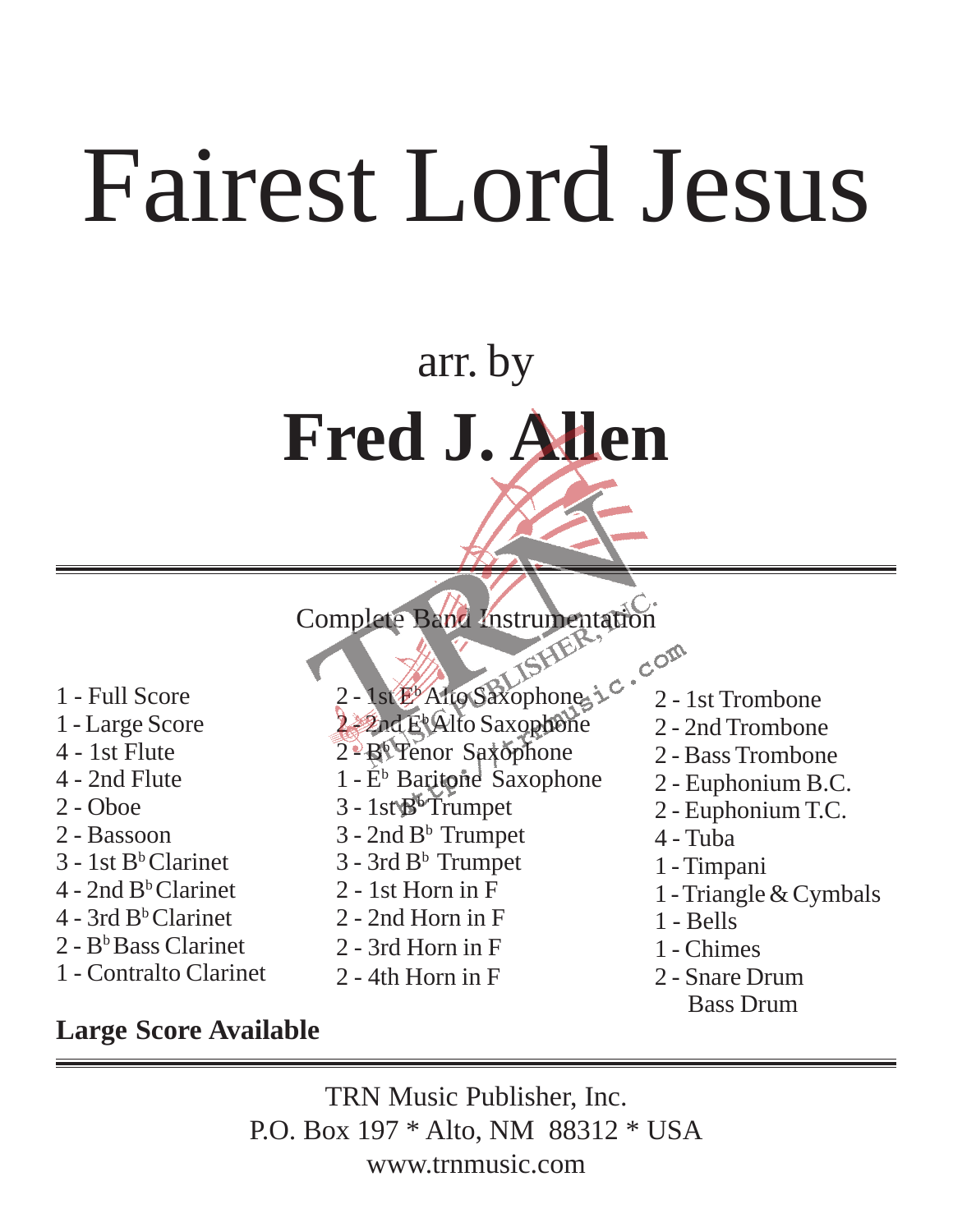# arr. by **Fred J. Allen**

Complete Band Instrumentation

- 1 Full Score
- 1 Large Score
- 4 1st Flute
- 4 2nd Flute
- 2 Oboe
- 2 Bassoon
- 3 1st Bb Clarinet
- $4 2$ nd B<sup>b</sup> Clarinet
- $4 3$ rd B<sup>b</sup> Clarinet
- 2 Bb Bass Clarinet
- 1 Contralto Clarinet
- 2 1st E<sup>b</sup> Alto Saxophone,
- 2 2nd E<sup>t</sup> Alto Saxophone
- 2 Bb Tenor Saxophone
- $1 E^b$  Baritone Saxophone
- $3 1$ st $\mathbb{B}^6$ Trumpet
- $3 2nd B<sup>b</sup>$  Trumpet
- $3 3$ rd B<sup>b</sup> Trumpet
- 2 1st Horn in F
- 2 2nd Horn in F
- 2 3rd Horn in F
- 2 4th Horn in F
- 2 1st Trombone
- 2 2nd Trombone
- 2 Bass Trombone
- 2 Euphonium B.C.
- 2 Euphonium T.C.
- 4 Tuba
- 1 Timpani
- 1 Triangle & Cymbals
- 1 Bells
- 1 Chimes
- 2 Snare Drum Bass Drum

#### **Large Score Available**

TRN Music Publisher, Inc. P.O. Box 197 \* Alto, NM 88312 \* USA www.trnmusic.com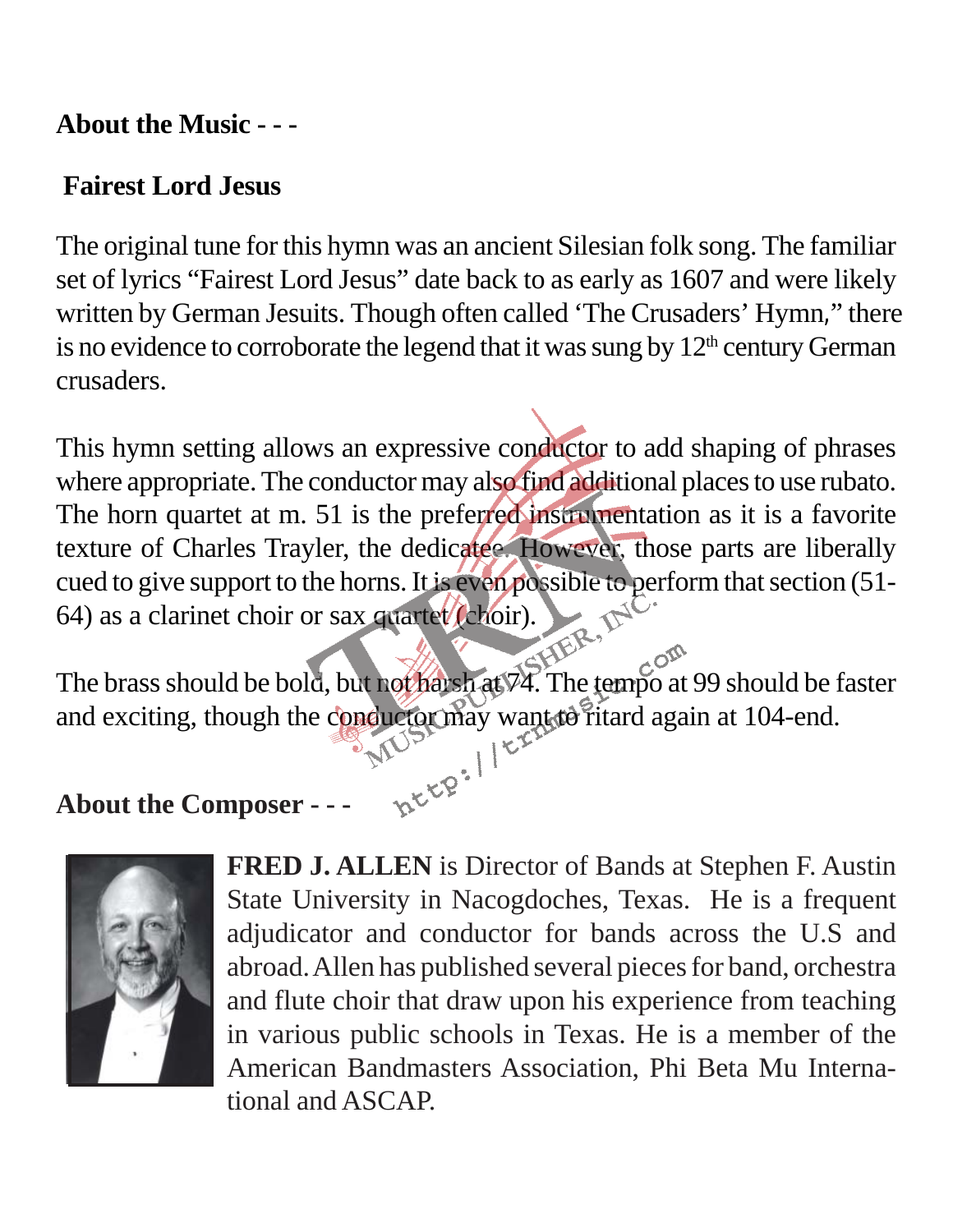#### **About the Music - - -**

#### **Fairest Lord Jesus**

The original tune for this hymn was an ancient Silesian folk song. The familiar set of lyrics "Fairest Lord Jesus" date back to as early as 1607 and were likely written by German Jesuits. Though often called 'The Crusaders' Hymn," there is no evidence to corroborate the legend that it was sung by  $12<sup>th</sup>$  century German crusaders.

This hymn setting allows an expressive conductor to add shaping of phrases where appropriate. The conductor may also find additional places to use rubato. The horn quartet at m. 51 is the preferred instrumentation as it is a favorite texture of Charles Trayler, the dedicatee. However, those parts are liberally cued to give support to the horns. It is even possible to perform that section (51- 64) as a clarinet choir or sax quartet (choir).

The brass should be bold, but not harsh at 74. The tempo at 99 should be faster and exciting, though the conductor may want to ritard again at 104-end.

#### **About the Composer - - -**



**FRED J. ALLEN** is Director of Bands at Stephen F. Austin State University in Nacogdoches, Texas. He is a frequent adjudicator and conductor for bands across the U.S and abroad. Allen has published several pieces for band, orchestra and flute choir that draw upon his experience from teaching in various public schools in Texas. He is a member of the American Bandmasters Association, Phi Beta Mu International and ASCAP.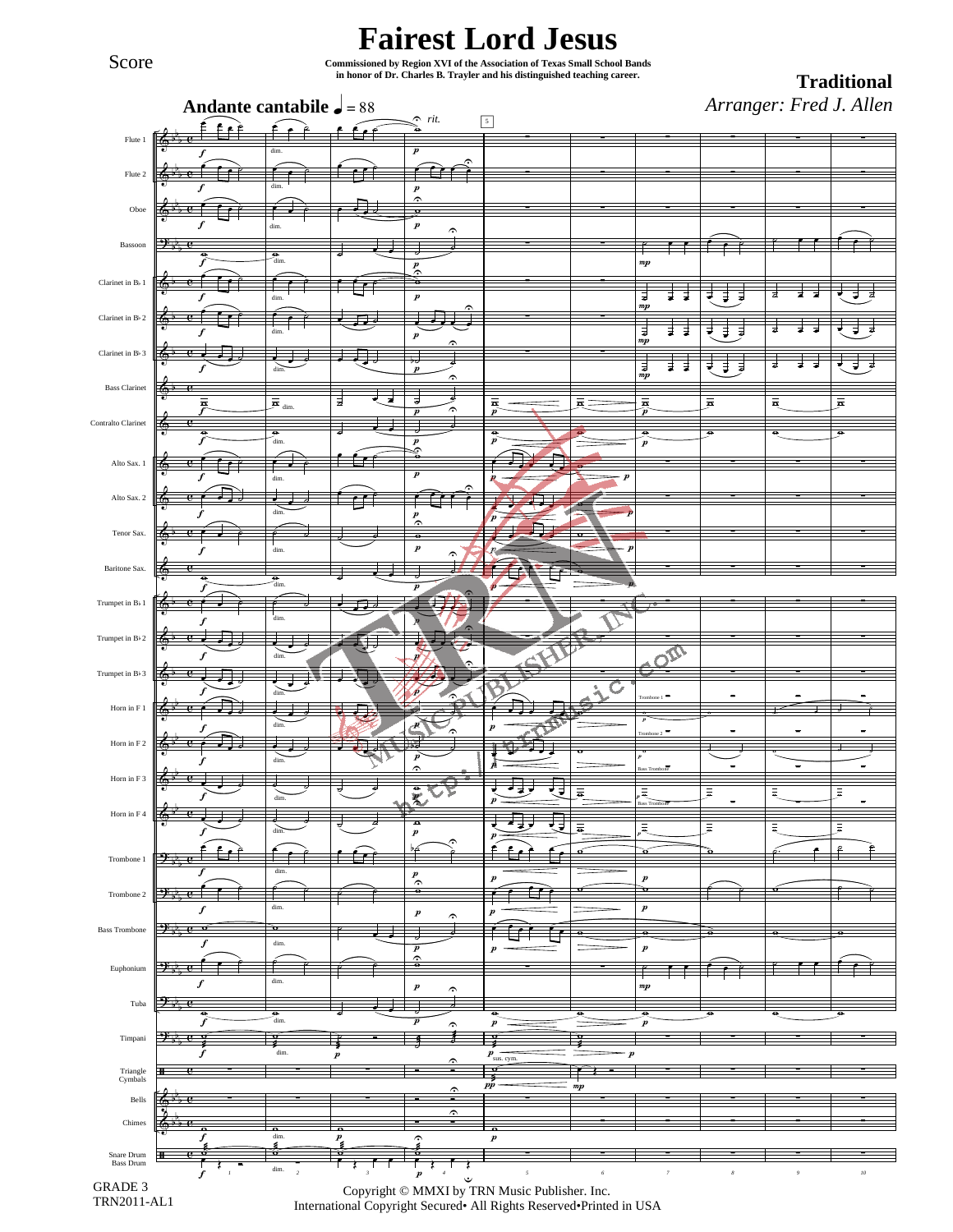Score

#### **Fairest Lord Jesus**

**Commissioned by Region XVI of the Association of Texas Small School Bands in honor of Dr. Charles B. Trayler and his distinguished teaching career. Traditional** 

*Arranger: Fred J. Allen*

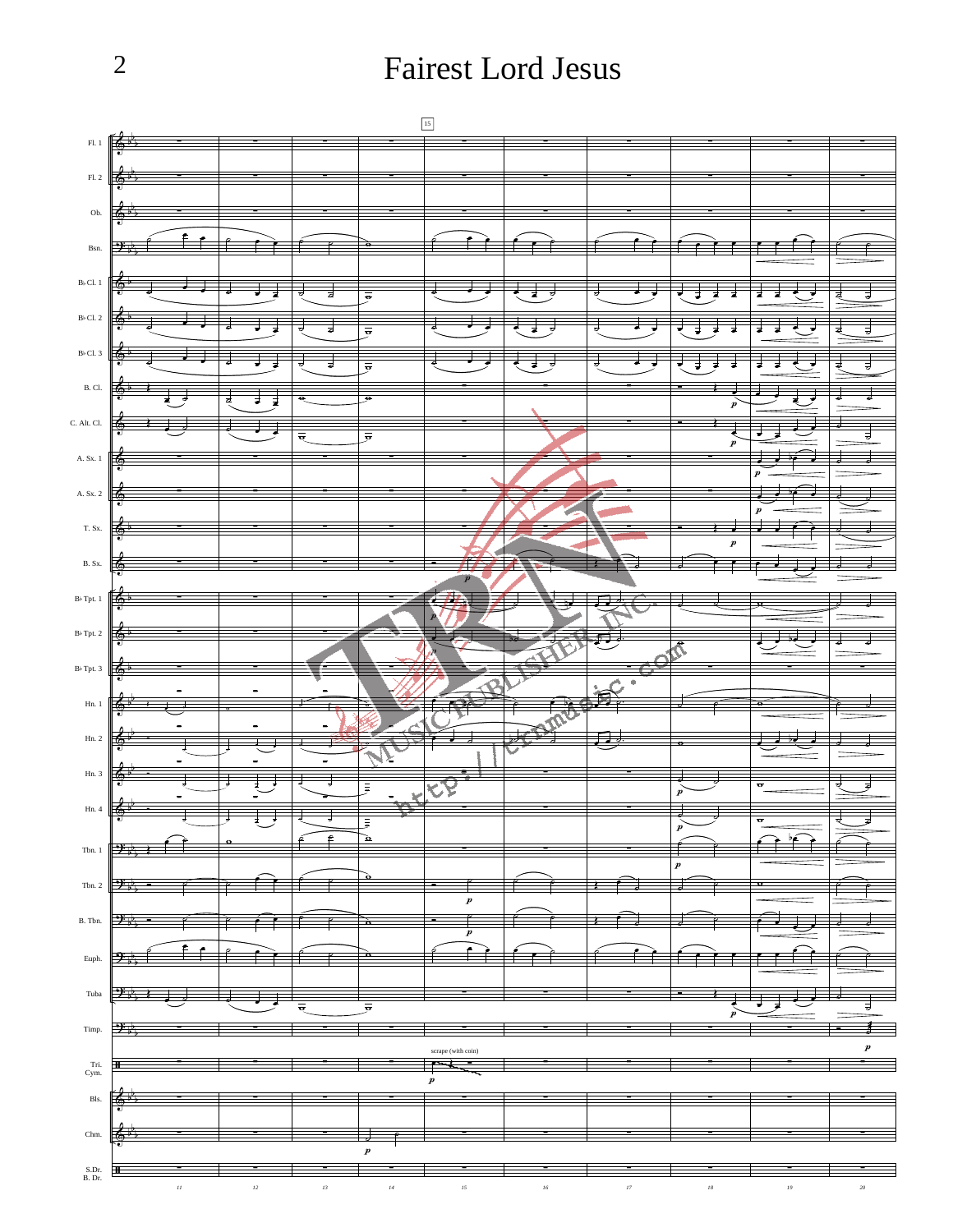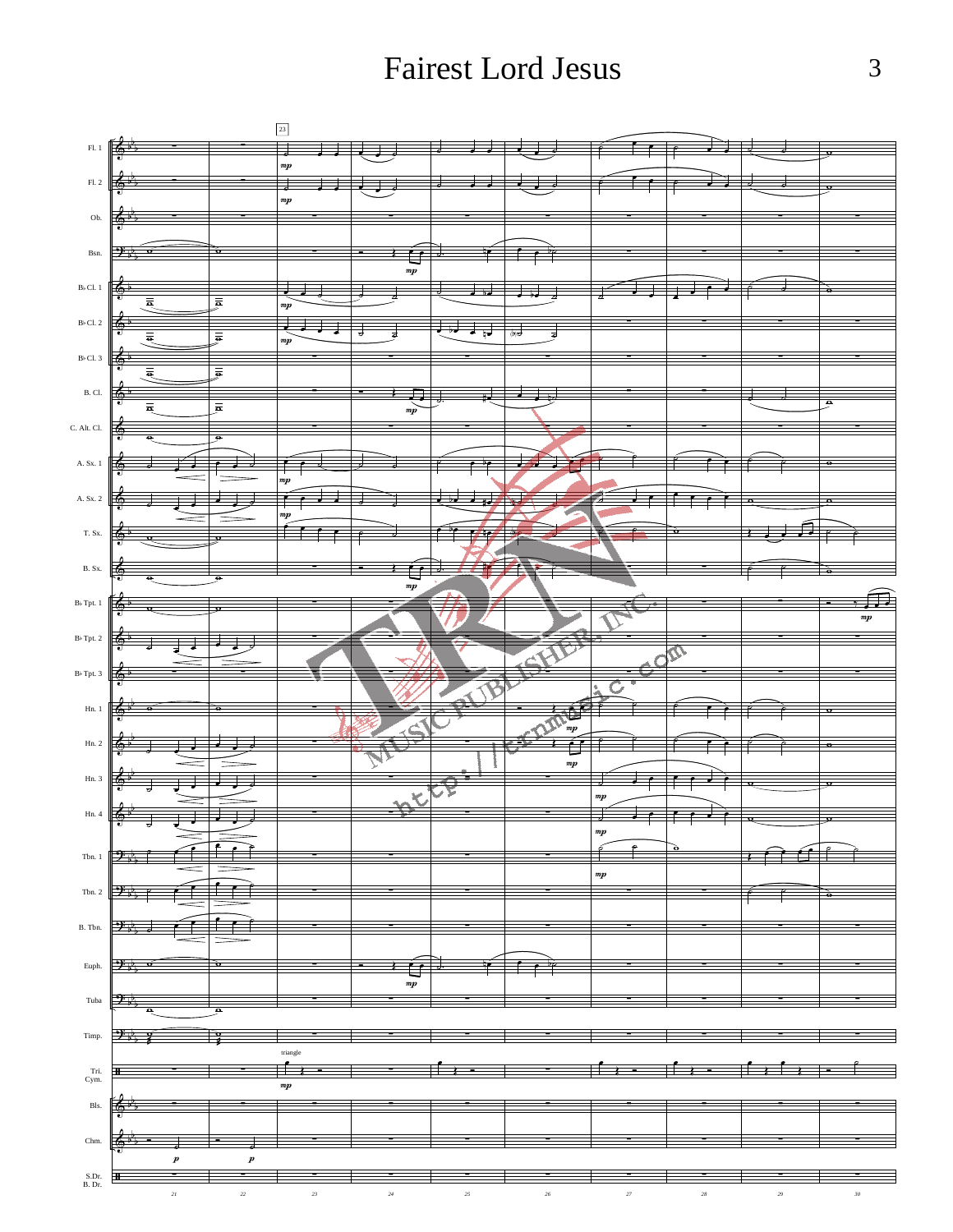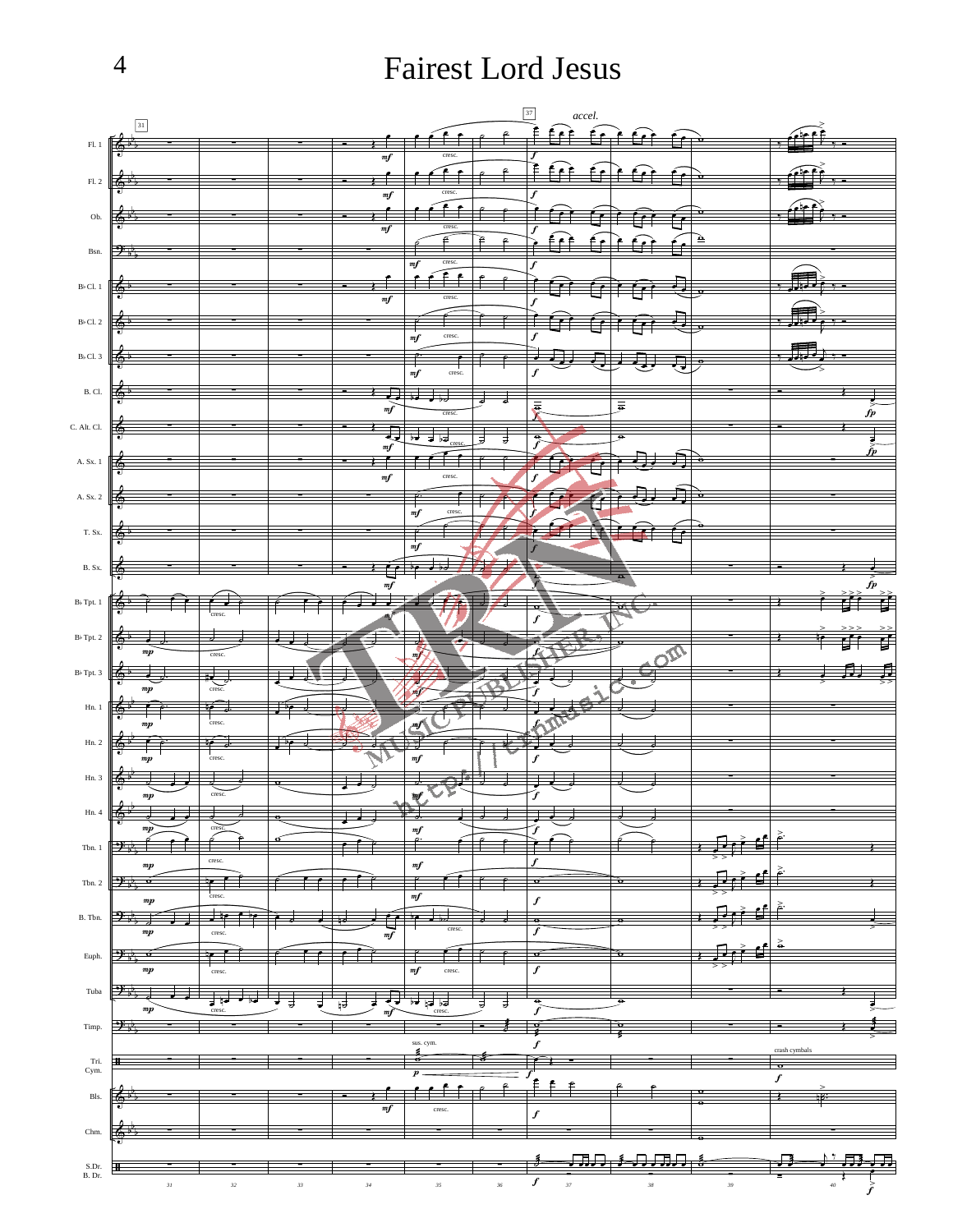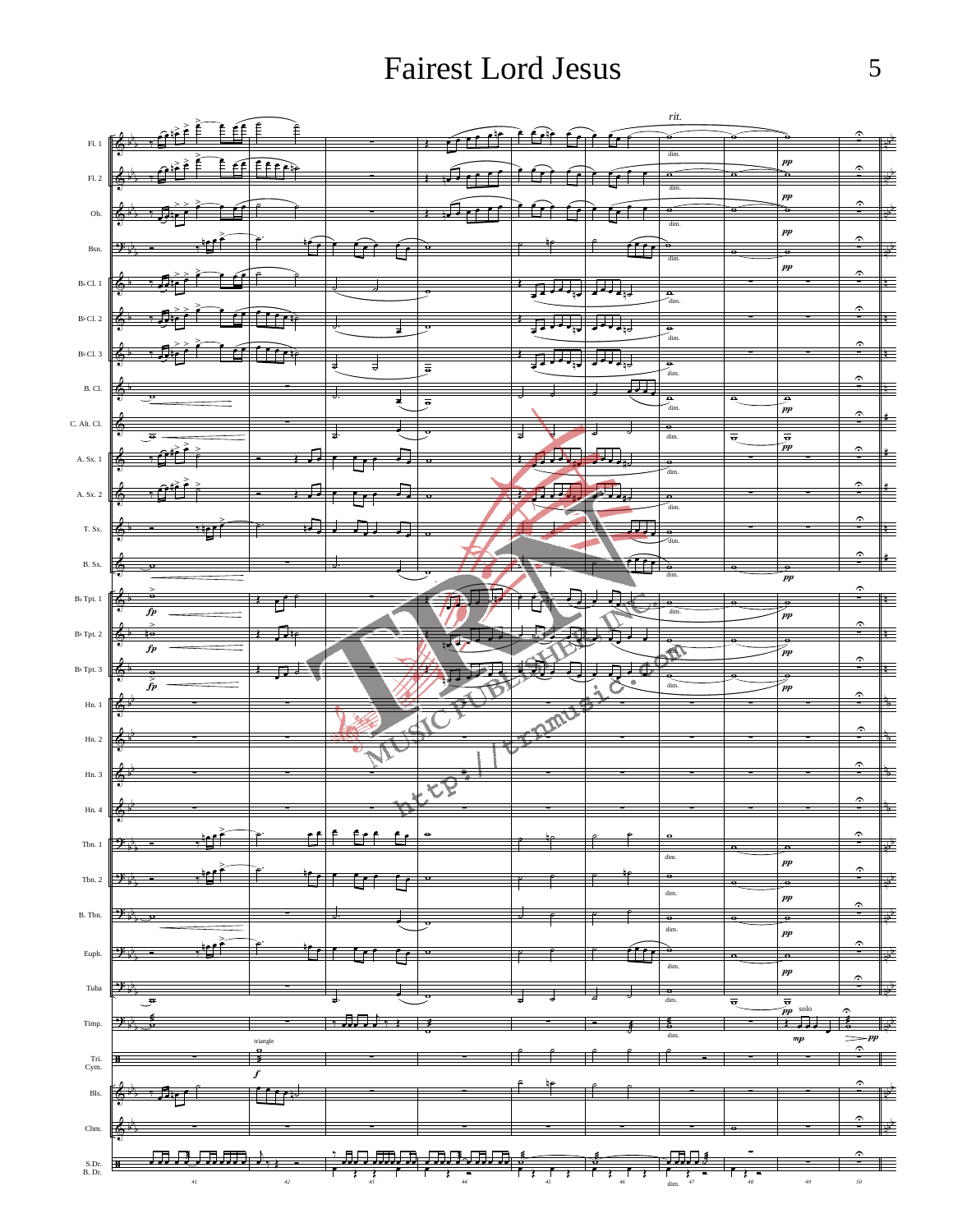Fairest Lord Jesus

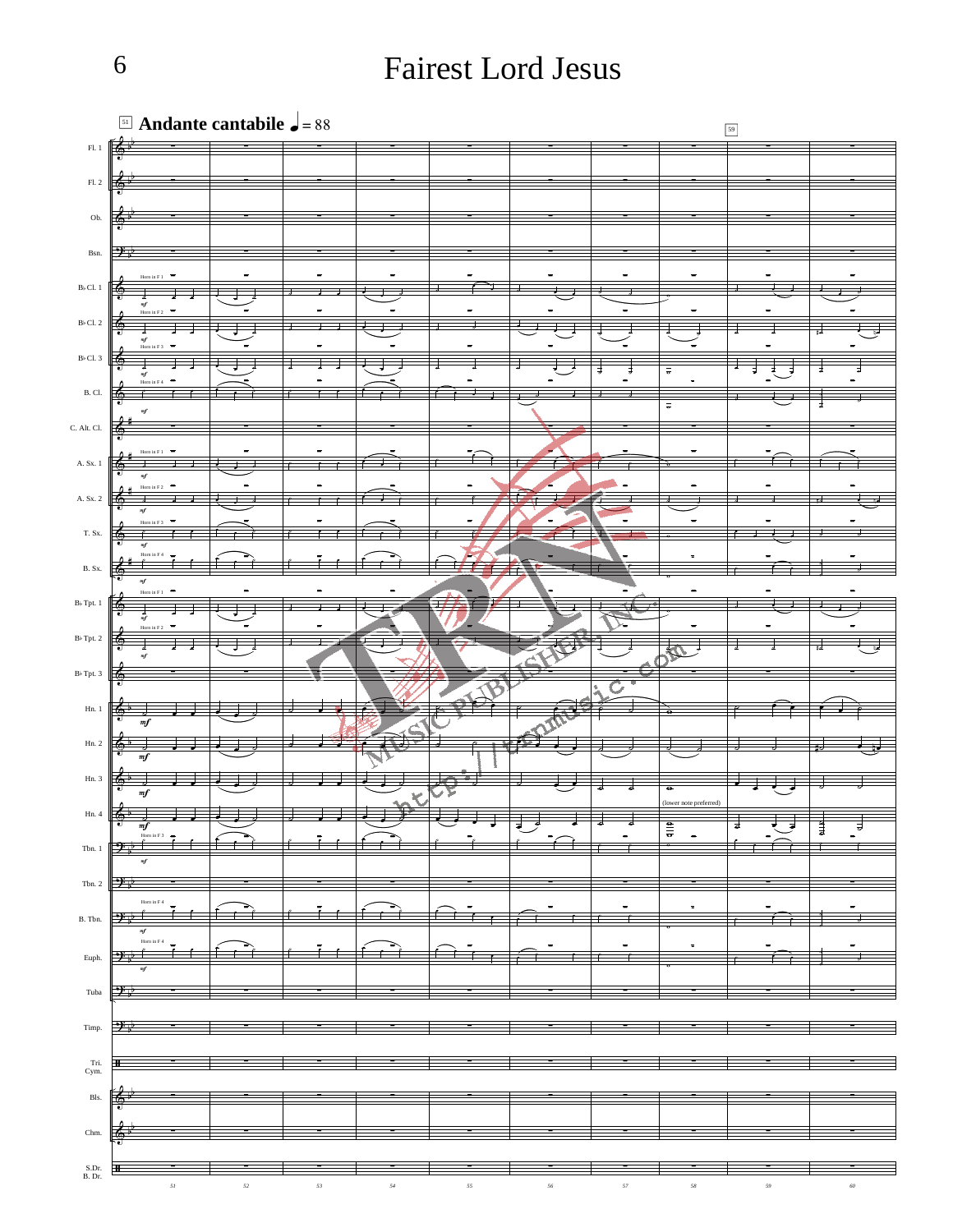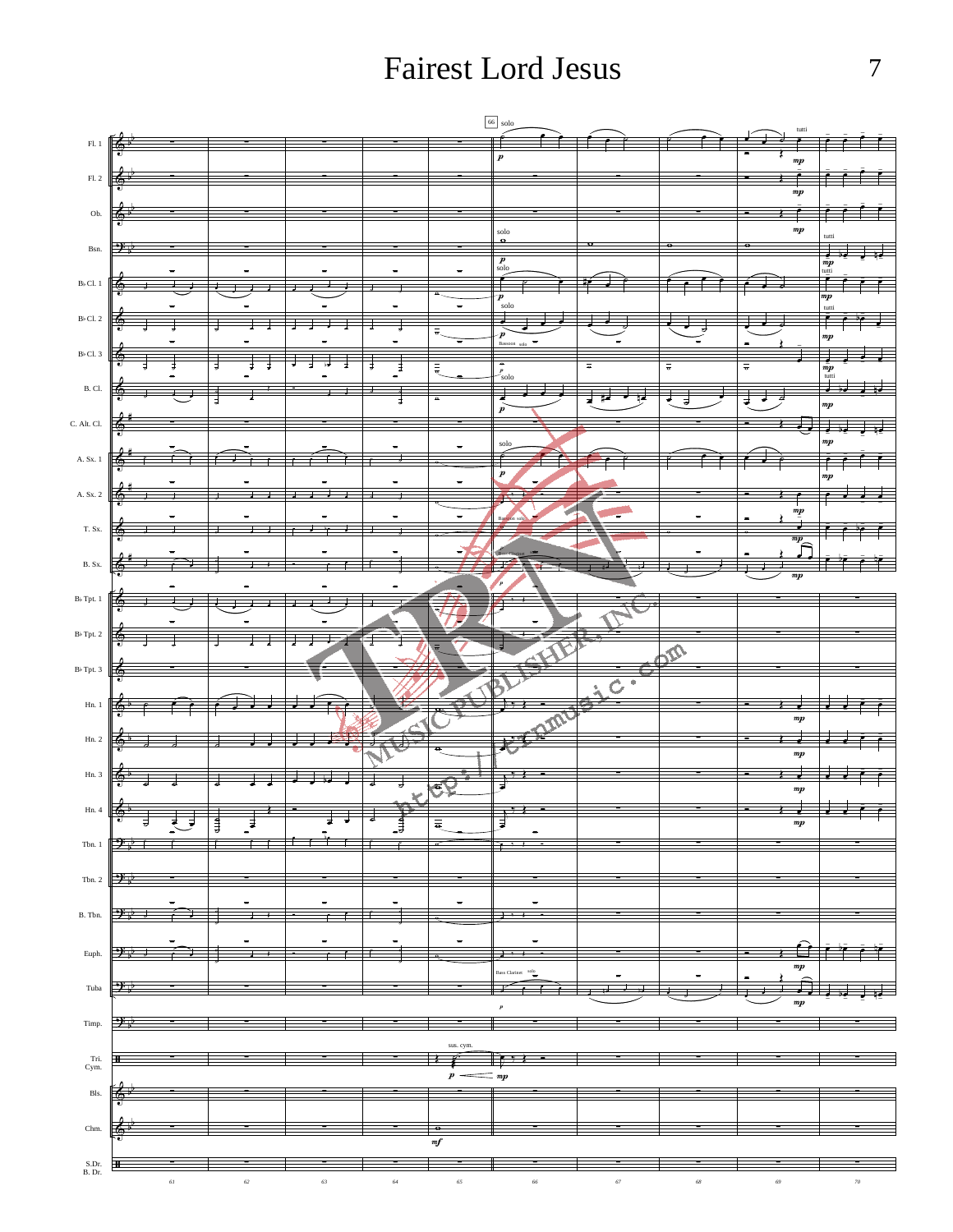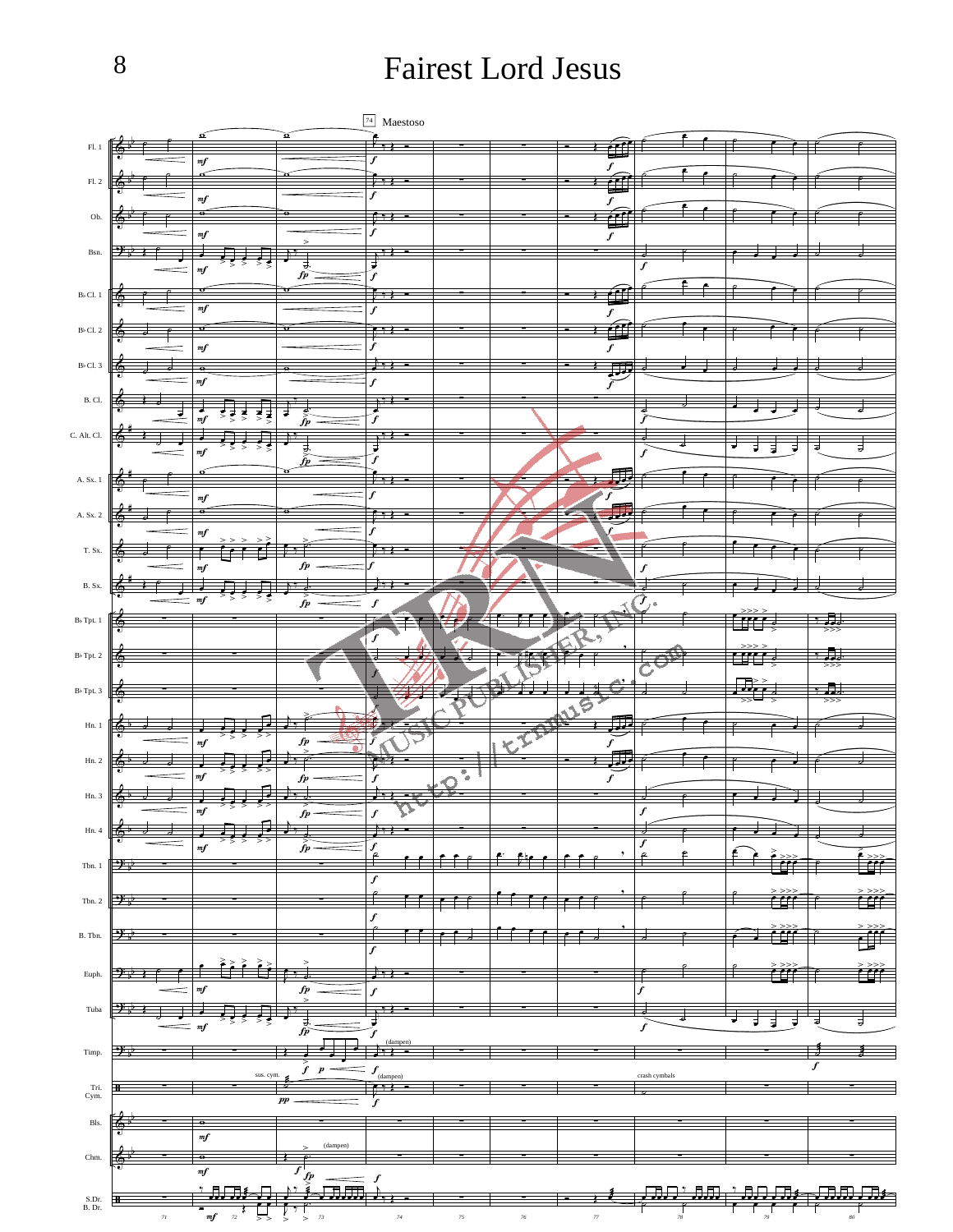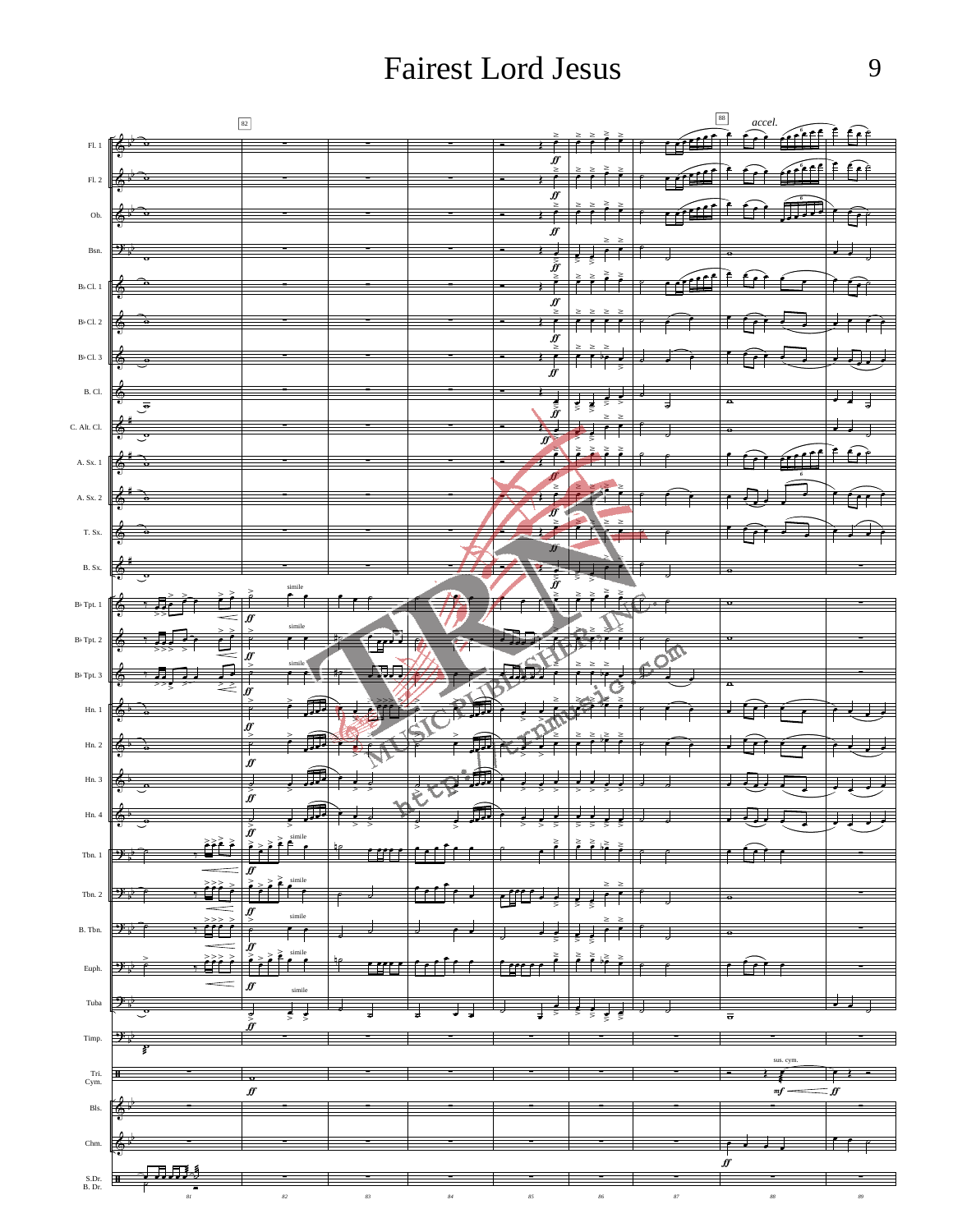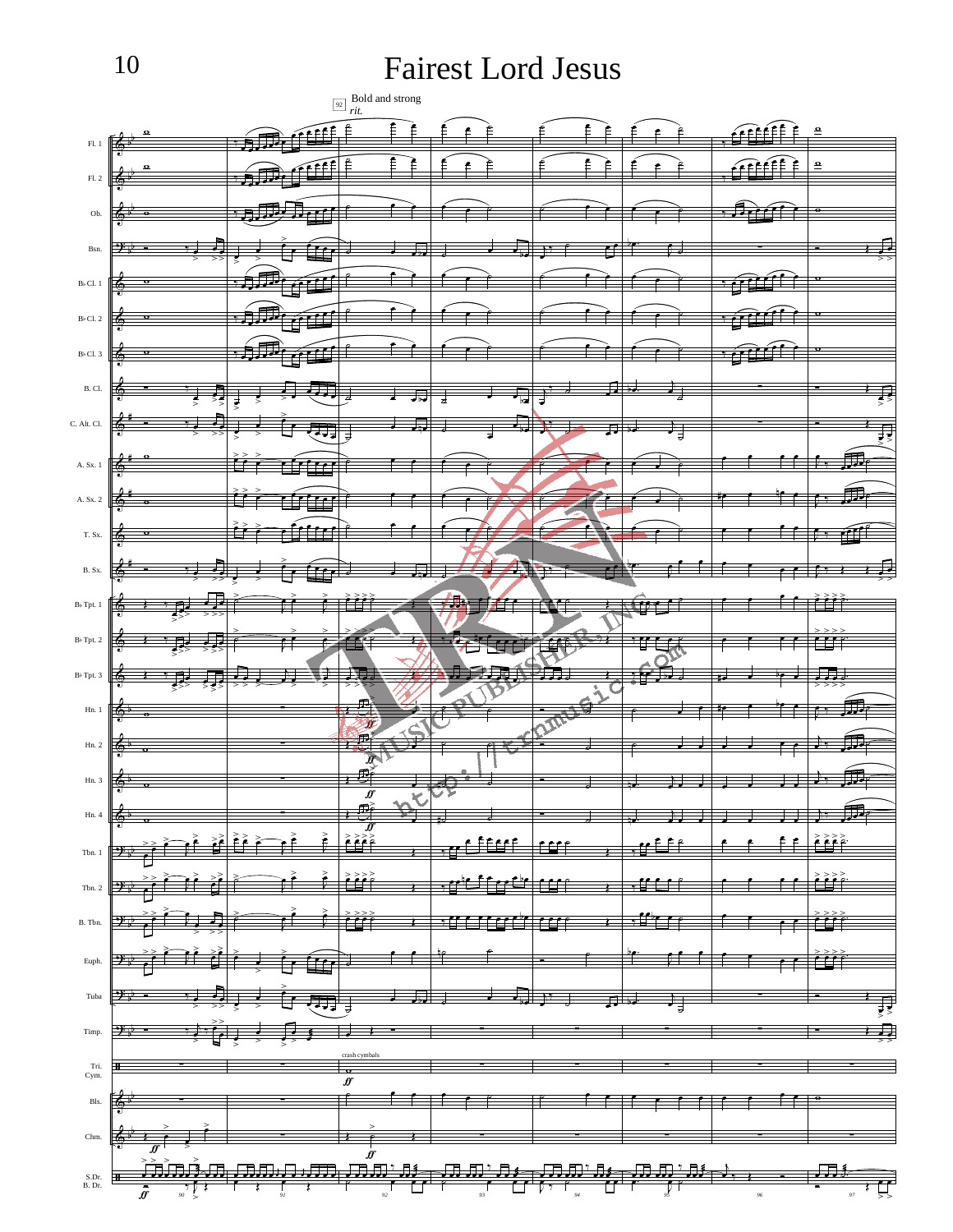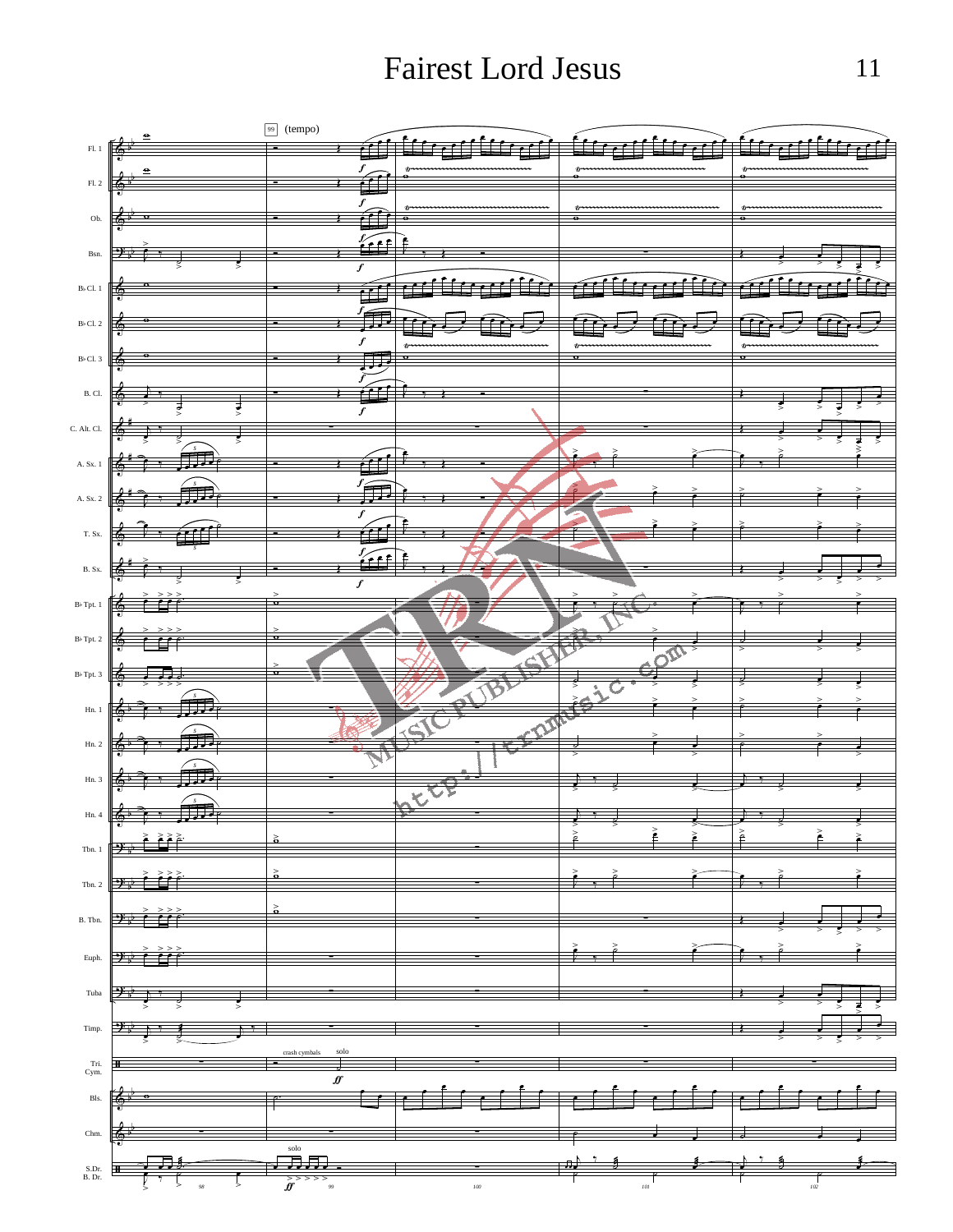